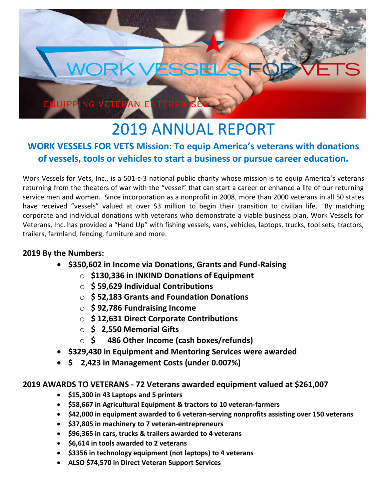

# 2019 ANNUAL REPORT

# **WORK VESSELS FOR VETS Mission: To equip America's veterans with donations of vessels, tools or vehicles to start a business or pursue career education.**

Work Vessels for Vets, Inc., is a 501-c-3 national public charity whose mission is to equip America's veterans returning from the theaters of war with the "vessel" that can start a career or enhance a life of our returning service men and women. Since incorporation as a nonprofit in 2008, more than 2000 veterans in all 50 states have received "vessels" valued at over \$3 million to begin their transition to civilian life. By matching corporate and individual donations with veterans who demonstrate a viable business plan, Work Vessels for Veterans, Inc. has provided a "Hand Up" with fishing vessels, vans, vehicles, laptops, trucks, tool sets, tractors, trailers, farmland, fencing, furniture and more.

#### **2019 By the Numbers:**

- **\$350,602 in Income via Donations, Grants and Fund-Raising**
	- o **\$130,336 in INKIND Donations of Equipment**
	- o **\$ 59,629 Individual Contributions**
	- o **\$ 52,183 Grants and Foundation Donations**
	- o **\$ 92,786 Fundraising Income**
	- o **\$ 12,631 Direct Corporate Contributions**
	- o **\$ 2,550 Memorial Gifts**
	- o **\$ 486 Other Income (cash boxes/refunds)**
- **\$329,430 in Equipment and Mentoring Services were awarded**
- **\$ 2,423 in Management Costs (under 0.007%)**

#### **2019 AWARDS TO VETERANS - 72 Veterans awarded equipment valued at \$261,007**

- **\$15,300 in 43 Laptops and 5 printers**
- **\$58,667 in Agricultural Equipment & tractors to 10 veteran-farmers**
- **\$42,000 in equipment awarded to 6 veteran-serving nonprofits assisting over 150 veterans**
- **\$37,805 in machinery to 7 veteran-entrepreneurs**
- **\$96,365 in cars, trucks & trailers awarded to 4 veterans**
- **\$6,614 in tools awarded to 2 veterans**
- **\$3356 in technology equipment (not laptops) to 4 veterans**
- **ALSO \$74,570 in Direct Veteran Support Services**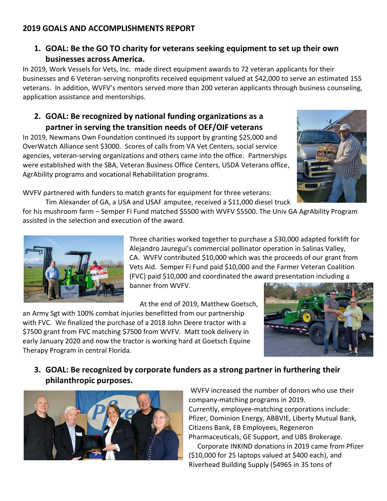#### **2019 GOALS AND ACCOMPLISHMENTS REPORT**

## **1. GOAL: Be the GO TO charity for veterans seeking equipment to set up their own businesses across America.**

In 2019, Work Vessels for Vets, Inc. made direct equipment awards to 72 veteran applicants for their businesses and 6 Veteran-serving nonprofits received equipment valued at \$42,000 to serve an estimated 155 veterans. In addition, WVFV's mentors served more than 200 veteran applicants through business counseling, application assistance and mentorships.

#### **2. GOAL: Be recognized by national funding organizations as a partner in serving the transition needs of OEF/OIF veterans**

In 2019, Newmans Own Foundation continued its support by granting \$25,000 and OverWatch Alliance sent \$3000. Scores of calls from VA Vet Centers, social service agencies, veteran-serving organizations and others came into the office. Partnerships were established with the SBA, Veteran Business Office Centers, USDA Veterans office, AgrAbility programs and vocational Rehabilitation programs.



WVFV partnered with funders to match grants for equipment for three veterans:

Tim Alexander of GA, a USA and USAF amputee, received a \$11,000 diesel truck for his mushroom farm – Semper Fi Fund matched \$5500 with WVFV \$5500. The Univ GA AgrAbility Program assisted in the selection and execution of the award.



Three charities worked together to purchase a \$30,000 adapted forklift for Alejandro Jauregui's commercial pollinator operation in Salinas Valley, CA. WVFV contributed \$10,000 which was the proceeds of our grant from Vets Aid. Semper Fi Fund paid \$10,000 and the Farmer Veteran Coalition (FVC) paid \$10,000 and coordinated the award presentation including a banner from WVFV.

At the end of 2019, Matthew Goetsch,

an Army Sgt with 100% combat injuries benefitted from our partnership with FVC. We finalized the purchase of a 2018 John Deere tractor with a \$7500 grant from FVC matching \$7500 from WVFV. Matt took delivery in early January 2020 and now the tractor is working hard at Goetsch Equine Therapy Program in central Florida.



## **3. GOAL: Be recognized by corporate funders as a strong partner in furthering their philanthropic purposes.**



WVFV increased the number of donors who use their company-matching programs in 2019. Currently, employee-matching corporations include: Pfizer, Dominion Energy, ABBVIE, Liberty Mutual Bank, Citizens Bank, EB Employees, Regeneron Pharmaceuticals, GE Support, and UBS Brokerage. Corporate INKIND donations in 2019 came from Pfizer (\$10,000 for 25 laptops valued at \$400 each), and

Riverhead Building Supply (\$4965 in 35 tons of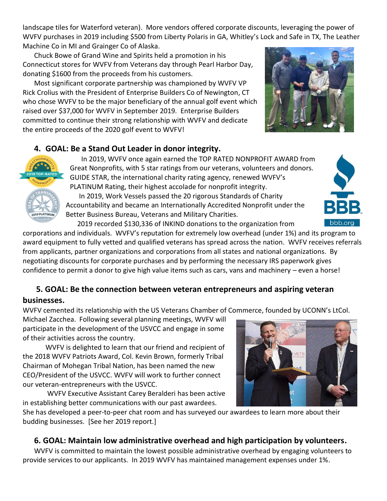landscape tiles for Waterford veteran). More vendors offered corporate discounts, leveraging the power of WVFV purchases in 2019 including \$500 from Liberty Polaris in GA, Whitley's Lock and Safe in TX, The Leather Machine Co in MI and Grainger Co of Alaska.

Chuck Bowe of Grand Wine and Spirits held a promotion in his Connecticut stores for WVFV from Veterans day through Pearl Harbor Day, donating \$1600 from the proceeds from his customers.

Most significant corporate partnership was championed by WVFV VP Rick Crolius with the President of Enterprise Builders Co of Newington, CT who chose WVFV to be the major beneficiary of the annual golf event which raised over \$37,000 for WVFV in September 2019. Enterprise Builders committed to continue their strong relationship with WVFV and dedicate the entire proceeds of the 2020 golf event to WVFV!



## **4. GOAL: Be a Stand Out Leader in donor integrity.**



In 2019, WVFV once again earned the TOP RATED NONPROFIT AWARD from Great Nonprofits, with 5 star ratings from our veterans, volunteers and donors. GUIDE STAR, the international charity rating agency, renewed WVFV's PLATINUM Rating, their highest accolade for nonprofit integrity. In 2019, Work Vessels passed the 20 rigorous Standards of Charity Accountability and became an Internationally Accredited Nonprofit under the Better Business Bureau, Veterans and Military Charities.

2019 recorded \$130,336 of INKIND donations to the organization from

corporations and individuals. WVFV's reputation for extremely low overhead (under 1%) and its program to award equipment to fully vetted and qualified veterans has spread across the nation. WVFV receives referrals from applicants, partner organizations and corporations from all states and national organizations. By negotiating discounts for corporate purchases and by performing the necessary IRS paperwork gives confidence to permit a donor to give high value items such as cars, vans and machinery – even a horse!

#### **5. GOAL: Be the connection between veteran entrepreneurs and aspiring veteran businesses.**

WVFV cemented its relationship with the US Veterans Chamber of Commerce, founded by UCONN's LtCol.

Michael Zacchea. Following several planning meetings, WVFV will participate in the development of the USVCC and engage in some of their activities across the country.

WVFV is delighted to learn that our friend and recipient of the 2018 WVFV Patriots Award, Col. Kevin Brown, formerly Tribal Chairman of Mohegan Tribal Nation, has been named the new CEO/President of the USVCC. WVFV will work to further connect our veteran-entrepreneurs with the USVCC.

WVFV Executive Assistant Carey Beralderi has been active in establishing better communications with our past awardees.



She has developed a peer-to-peer chat room and has surveyed our awardees to learn more about their budding businesses. [See her 2019 report.]

## **6. GOAL: Maintain low administrative overhead and high participation by volunteers.**

WVFV is committed to maintain the lowest possible administrative overhead by engaging volunteers to provide services to our applicants. In 2019 WVFV has maintained management expenses under 1%.

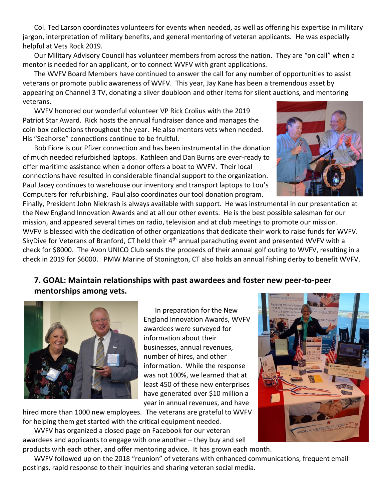Col. Ted Larson coordinates volunteers for events when needed, as well as offering his expertise in military jargon, interpretation of military benefits, and general mentoring of veteran applicants. He was especially helpful at Vets Rock 2019.

Our Military Advisory Council has volunteer members from across the nation. They are "on call" when a mentor is needed for an applicant, or to connect WVFV with grant applications.

The WVFV Board Members have continued to answer the call for any number of opportunities to assist veterans or promote public awareness of WVFV. This year, Jay Kane has been a tremendous asset by appearing on Channel 3 TV, donating a silver doubloon and other items for silent auctions, and mentoring veterans.

WVFV honored our wonderful volunteer VP Rick Crolius with the 2019 Patriot Star Award. Rick hosts the annual fundraiser dance and manages the coin box collections throughout the year. He also mentors vets when needed. His "Seahorse" connections continue to be fruitful.

Bob Fiore is our Pfizer connection and has been instrumental in the donation of much needed refurbished laptops. Kathleen and Dan Burns are ever-ready to offer maritime assistance when a donor offers a boat to WVFV. Their local connections have resulted in considerable financial support to the organization. Paul Jacey continues to warehouse our inventory and transport laptops to Lou's Computers for refurbishing. Paul also coordinates our tool donation program.



Finally, President John Niekrash is always available with support. He was instrumental in our presentation at the New England Innovation Awards and at all our other events. He is the best possible salesman for our mission, and appeared several times on radio, television and at club meetings to promote our mission. WVFV is blessed with the dedication of other organizations that dedicate their work to raise funds for WVFV. SkyDive for Veterans of Branford, CT held their 4<sup>th</sup> annual parachuting event and presented WVFV with a check for \$8000. The Avon UNICO Club sends the proceeds of their annual golf outing to WVFV, resulting in a check in 2019 for \$6000. PMW Marine of Stonington, CT also holds an annual fishing derby to benefit WVFV.

## **7. GOAL: Maintain relationships with past awardees and foster new peer-to-peer mentorships among vets.**



In preparation for the New England Innovation Awards, WVFV awardees were surveyed for information about their businesses, annual revenues, number of hires, and other information. While the response was not 100%, we learned that at least 450 of these new enterprises have generated over \$10 million a year in annual revenues, and have

hired more than 1000 new employees. The veterans are grateful to WVFV for helping them get started with the critical equipment needed.

WVFV has organized a closed page on Facebook for our veteran awardees and applicants to engage with one another – they buy and sell products with each other, and offer mentoring advice. It has grown each month.

WVFV followed up on the 2018 "reunion" of veterans with enhanced communications, frequent email postings, rapid response to their inquiries and sharing veteran social media.